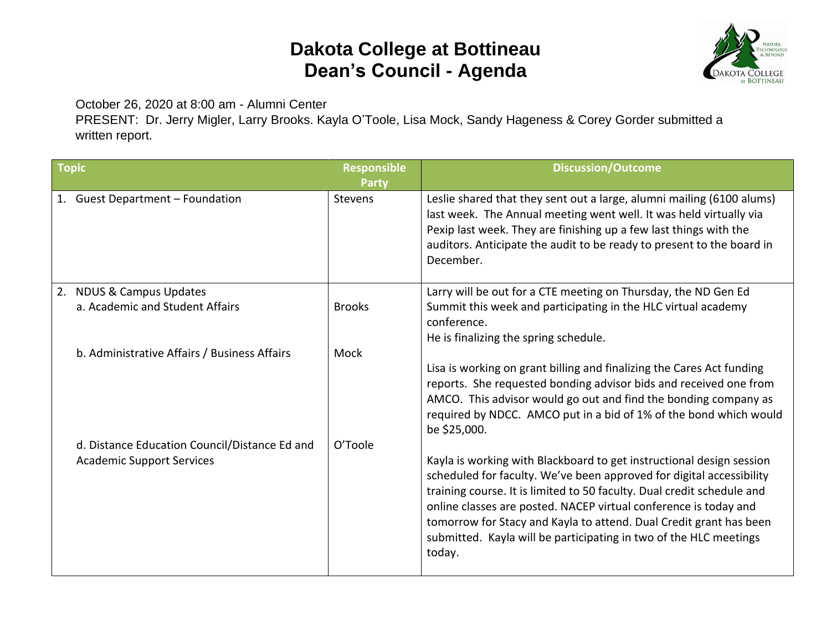## **Dakota College at Bottineau Dean's Council - Agenda**



October 26, 2020 at 8:00 am - Alumni Center

PRESENT: Dr. Jerry Migler, Larry Brooks. Kayla O'Toole, Lisa Mock, Sandy Hageness & Corey Gorder submitted a written report.

| <b>Topic</b> |                                                                                   | <b>Responsible</b><br><b>Party</b> | <b>Discussion/Outcome</b>                                                                                                                                                                                                                                                                                                                                                                                                                       |
|--------------|-----------------------------------------------------------------------------------|------------------------------------|-------------------------------------------------------------------------------------------------------------------------------------------------------------------------------------------------------------------------------------------------------------------------------------------------------------------------------------------------------------------------------------------------------------------------------------------------|
|              | 1. Guest Department - Foundation                                                  | <b>Stevens</b>                     | Leslie shared that they sent out a large, alumni mailing (6100 alums)<br>last week. The Annual meeting went well. It was held virtually via<br>Pexip last week. They are finishing up a few last things with the<br>auditors. Anticipate the audit to be ready to present to the board in<br>December.                                                                                                                                          |
|              | 2. NDUS & Campus Updates<br>a. Academic and Student Affairs                       | <b>Brooks</b>                      | Larry will be out for a CTE meeting on Thursday, the ND Gen Ed<br>Summit this week and participating in the HLC virtual academy<br>conference.<br>He is finalizing the spring schedule.                                                                                                                                                                                                                                                         |
|              | b. Administrative Affairs / Business Affairs                                      | Mock                               | Lisa is working on grant billing and finalizing the Cares Act funding<br>reports. She requested bonding advisor bids and received one from<br>AMCO. This advisor would go out and find the bonding company as<br>required by NDCC. AMCO put in a bid of 1% of the bond which would<br>be \$25,000.                                                                                                                                              |
|              | d. Distance Education Council/Distance Ed and<br><b>Academic Support Services</b> | O'Toole                            | Kayla is working with Blackboard to get instructional design session<br>scheduled for faculty. We've been approved for digital accessibility<br>training course. It is limited to 50 faculty. Dual credit schedule and<br>online classes are posted. NACEP virtual conference is today and<br>tomorrow for Stacy and Kayla to attend. Dual Credit grant has been<br>submitted. Kayla will be participating in two of the HLC meetings<br>today. |